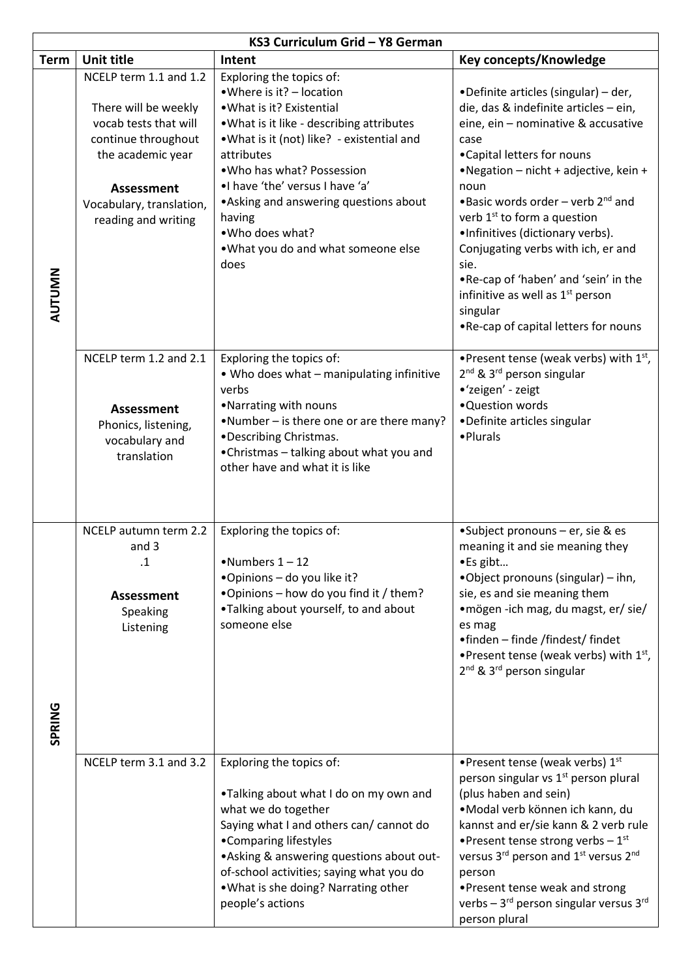| KS3 Curriculum Grid - Y8 German |                                                                                                                                                                                             |                                                                                                                                                                                                                                                                                                                                                                                  |                                                                                                                                                                                                                                                                                                                                                                                                                                                                                                                                 |  |  |
|---------------------------------|---------------------------------------------------------------------------------------------------------------------------------------------------------------------------------------------|----------------------------------------------------------------------------------------------------------------------------------------------------------------------------------------------------------------------------------------------------------------------------------------------------------------------------------------------------------------------------------|---------------------------------------------------------------------------------------------------------------------------------------------------------------------------------------------------------------------------------------------------------------------------------------------------------------------------------------------------------------------------------------------------------------------------------------------------------------------------------------------------------------------------------|--|--|
| <b>Term</b>                     | <b>Unit title</b>                                                                                                                                                                           | Intent                                                                                                                                                                                                                                                                                                                                                                           | Key concepts/Knowledge                                                                                                                                                                                                                                                                                                                                                                                                                                                                                                          |  |  |
| AUTUMN                          | NCELP term 1.1 and 1.2<br>There will be weekly<br>vocab tests that will<br>continue throughout<br>the academic year<br><b>Assessment</b><br>Vocabulary, translation,<br>reading and writing | Exploring the topics of:<br>• Where is it? - location<br>. What is it? Existential<br>. What is it like - describing attributes<br>.What is it (not) like? - existential and<br>attributes<br>.Who has what? Possession<br>.I have 'the' versus I have 'a'<br>• Asking and answering questions about<br>having<br>.Who does what?<br>. What you do and what someone else<br>does | •Definite articles (singular) - der,<br>die, das & indefinite articles - ein,<br>eine, ein - nominative & accusative<br>case<br>•Capital letters for nouns<br>•Negation - nicht + adjective, kein +<br>noun<br>•Basic words order – verb $2^{nd}$ and<br>verb 1 <sup>st</sup> to form a question<br>.Infinitives (dictionary verbs).<br>Conjugating verbs with ich, er and<br>sie.<br>.Re-cap of 'haben' and 'sein' in the<br>infinitive as well as 1 <sup>st</sup> person<br>singular<br>. Re-cap of capital letters for nouns |  |  |
|                                 | NCELP term 1.2 and 2.1<br><b>Assessment</b><br>Phonics, listening,<br>vocabulary and<br>translation                                                                                         | Exploring the topics of:<br>. Who does what - manipulating infinitive<br>verbs<br>•Narrating with nouns<br>•Number – is there one or are there many?<br>•Describing Christmas.<br>•Christmas - talking about what you and<br>other have and what it is like                                                                                                                      | • Present tense (weak verbs) with $1st$ ,<br>2 <sup>nd</sup> & 3 <sup>rd</sup> person singular<br>•'zeigen' - zeigt<br>•Question words<br>•Definite articles singular<br>• Plurals                                                                                                                                                                                                                                                                                                                                              |  |  |
| SPRING                          | NCELP autumn term 2.2<br>and 3<br>$\cdot$ 1<br><b>Assessment</b><br>Speaking<br>Listening                                                                                                   | Exploring the topics of:<br>$\bullet$ Numbers 1 - 12<br>.Opinions - do you like it?<br>. Opinions - how do you find it / them?<br>.Talking about yourself, to and about<br>someone else                                                                                                                                                                                          | •Subject pronouns - er, sie & es<br>meaning it and sie meaning they<br>·Es gibt<br>.Object pronouns (singular) - ihn,<br>sie, es and sie meaning them<br>• mögen -ich mag, du magst, er/ sie/<br>es mag<br>•finden - finde /findest/ findet<br>• Present tense (weak verbs) with $1st$ ,<br>2 <sup>nd</sup> & 3 <sup>rd</sup> person singular                                                                                                                                                                                   |  |  |
|                                 | NCELP term 3.1 and 3.2                                                                                                                                                                      | Exploring the topics of:<br>.Talking about what I do on my own and<br>what we do together<br>Saying what I and others can/ cannot do<br>•Comparing lifestyles<br>• Asking & answering questions about out-<br>of-school activities; saying what you do<br>. What is she doing? Narrating other<br>people's actions                                                               | •Present tense (weak verbs) 1st<br>person singular vs 1 <sup>st</sup> person plural<br>(plus haben and sein)<br>·Modal verb können ich kann, du<br>kannst and er/sie kann & 2 verb rule<br>• Present tense strong verbs $-1^{st}$<br>versus 3rd person and 1st versus 2nd<br>person<br>•Present tense weak and strong<br>verbs $-3^{rd}$ person singular versus $3^{rd}$<br>person plural                                                                                                                                       |  |  |